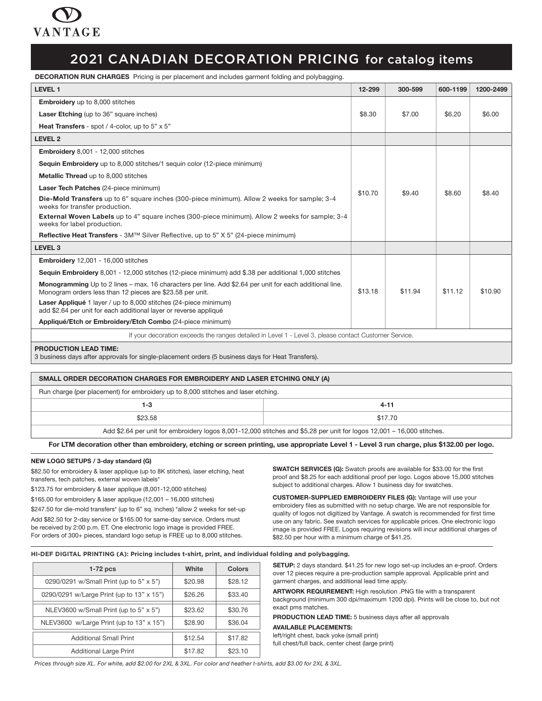

DECORATION RUN CHARGES Pricing is per placement and includes garment folding and polybagging.

| <b>LEVEL 1</b>                                                                                                                                                              | 12-299  | 300-599 | 600-1199 | 1200-2499 |
|-----------------------------------------------------------------------------------------------------------------------------------------------------------------------------|---------|---------|----------|-----------|
| <b>Embroidery</b> up to 8,000 stitches                                                                                                                                      |         |         |          |           |
| <b>Laser Etching</b> (up to 36" square inches)                                                                                                                              | \$8.30  | \$7.00  | \$6.20   | \$6.00    |
| Heat Transfers - spot / 4-color, up to 5" x 5"                                                                                                                              |         |         |          |           |
| <b>LEVEL 2</b>                                                                                                                                                              |         |         |          |           |
| Embroidery 8,001 - 12,000 stitches                                                                                                                                          |         |         |          |           |
| <b>Sequin Embroidery</b> up to 8,000 stitches/1 sequin color (12-piece minimum)                                                                                             |         |         |          |           |
| <b>Metallic Thread</b> up to 8,000 stitches                                                                                                                                 |         |         |          |           |
| Laser Tech Patches (24-piece minimum)                                                                                                                                       | \$10.70 | \$9.40  | \$8.60   | \$8.40    |
| Die-Mold Transfers up to 6" square inches (300-piece minimum). Allow 2 weeks for sample; 3-4<br>weeks for transfer production.                                              |         |         |          |           |
| <b>External Woven Labels</b> up to 4" square inches (300-piece minimum). Allow 2 weeks for sample; 3-4<br>weeks for label production.                                       |         |         |          |           |
| <b>Reflective Heat Transfers</b> - 3M™ Silver Reflective, up to 5" X 5" (24-piece minimum)                                                                                  |         |         |          |           |
| <b>LEVEL 3</b>                                                                                                                                                              |         |         |          |           |
| <b>Embroidery</b> 12,001 - 16,000 stitches                                                                                                                                  |         |         |          |           |
| Sequin Embroidery 8,001 - 12,000 stitches (12-piece minimum) add \$.38 per additional 1,000 stitches                                                                        |         |         |          |           |
| <b>Monogramming</b> Up to 2 lines – max. 16 characters per line. Add \$2.64 per unit for each additional line.<br>Monogram orders less than 12 pieces are \$23.58 per unit. | \$13.18 | \$11.94 | \$11.12  | \$10.90   |
| Laser Appliqué 1 layer / up to 8,000 stitches (24-piece minimum)<br>add \$2.64 per unit for each additional layer or reverse appliqué                                       |         |         |          |           |
| Appliqué/Etch or Embroidery/Etch Combo (24-piece minimum)                                                                                                                   |         |         |          |           |
| If your decoration exceeds the ranges detailed in Level 1 - Level 3, please contact Customer Service.                                                                       |         |         |          |           |
| <b>PRODUCTION LEAD TIME:</b><br>3 business days after approvals for single-placement orders (5 business days for Heat Transfers).                                           |         |         |          |           |

| SMALL ORDER DECORATION CHARGES FOR EMBROIDERY AND LASER ETCHING ONLY (A)                                               |         |  |  |  |  |
|------------------------------------------------------------------------------------------------------------------------|---------|--|--|--|--|
| Run charge (per placement) for embroidery up to 8,000 stitches and laser etching.                                      |         |  |  |  |  |
| 1-3                                                                                                                    | 4-11    |  |  |  |  |
| \$23.58                                                                                                                | \$17.70 |  |  |  |  |
| Add \$2.64 per unit for embroidery logos 8,001-12,000 stitches and \$5.28 per unit for logos 12,001 - 16,000 stitches. |         |  |  |  |  |

For LTM decoration other than embroidery, etching or screen printing, use appropriate Level 1 - Level 3 run charge, plus \$132.00 per logo.

#### NEW LOGO SETUPS / 3-day standard (G)

\$82.50 for embroidery & laser applique (up to 8K stitches), laser etching, heat transfers, tech patches, external woven labels\*

\$123.75 for embroidery & laser applique (8,001-12,000 stitches)

\$165.00 for embroidery & laser applique (12,001 – 16,000 stitches)

\$247.50 for die-mold transfers\* (up to 6" sq. inches) \*allow 2 weeks for set-up Add \$82.50 for 2-day service or \$165.00 for same-day service. Orders must be received by 2:00 p.m. ET. One electronic logo image is provided FREE. For orders of 300+ pieces, standard logo setup is FREE up to 8,000 stitches.

SWATCH SERVICES (G): Swatch proofs are available for \$33.00 for the first proof and \$8.25 for each additional proof per logo. Logos above 15,000 stitches subject to additional charges. Allow 1 business day for swatches.

CUSTOMER-SUPPLIED EMBROIDERY FILES (G): Vantage will use your embroidery files as submitted with no setup charge. We are not responsible for quality of logos not digitized by Vantage. A swatch is recommended for first time use on any fabric. See swatch services for applicable prices. One electronic logo image is provided FREE. Logos requiring revisions will incur additional charges of \$82.50 per hour with a minimum charge of \$41.25.

#### **HI-DEF DIGITAL PRINTING (A): Pricing includes t-shirt, print, and individual folding and polybagging.**

| $1-72$ pcs                                | White   | <b>Colors</b> |
|-------------------------------------------|---------|---------------|
| 0290/0291 w/Small Print (up to 5" x 5")   | \$20.98 | \$28.12       |
| 0290/0291 w/Large Print (up to 13" x 15") | \$26.26 | \$33.40       |
| NLEV3600 w/Small Print (up to 5" x 5")    | \$23.62 | \$30.76       |
| NLEV3600 w/Large Print (up to 13" x 15")  | \$28.90 | \$36.04       |
| <b>Additional Small Print</b>             | \$12.54 | \$17.82       |
| <b>Additional Large Print</b>             | \$17.82 | \$23.10       |

SETUP: 2 days standard. \$41.25 for new logo set-up includes an e-proof. Orders over 12 pieces require a pre-production sample approval. Applicable print and garment charges, and additional lead time apply.

ARTWORK REQUIREMENT: High resolution .PNG file with a transparent background (minimum 300 dpi/maximum 1200 dpi). Prints will be close to, but not exact pms matches.

PRODUCTION LEAD TIME: 5 business days after all approvals

#### AVAILABLE PLACEMENTS:

left/right chest, back yoke (small print) full chest/full back, center chest (large print)

*Prices through size XL. For white, add \$2.00 for 2XL & 3XL. For color and heather t-shirts, add \$3.00 for 2XL & 3XL.*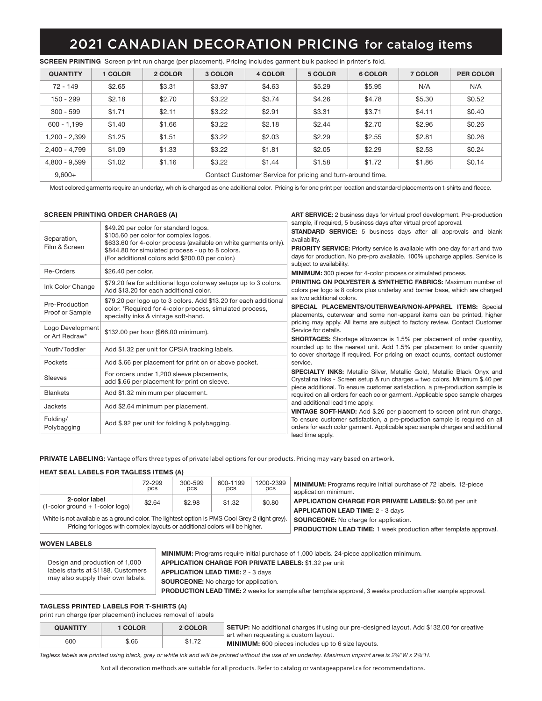| <b>QUANTITY</b> | <b>COLOR</b>                                               | 2 COLOR | 3 COLOR | 4 COLOR | 5 COLOR | 6 COLOR | 7 COLOR | <b>PER COLOR</b> |  |
|-----------------|------------------------------------------------------------|---------|---------|---------|---------|---------|---------|------------------|--|
| $72 - 149$      | \$2.65                                                     | \$3.31  | \$3.97  | \$4.63  | \$5.29  | \$5.95  | N/A     | N/A              |  |
| $150 - 299$     | \$2.18                                                     | \$2.70  | \$3.22  | \$3.74  | \$4.26  | \$4.78  | \$5.30  | \$0.52           |  |
| $300 - 599$     | \$1.71                                                     | \$2.11  | \$3.22  | \$2.91  | \$3.31  | \$3.71  | \$4.11  | \$0.40           |  |
| $600 - 1.199$   | \$1.40                                                     | \$1.66  | \$3.22  | \$2.18  | \$2.44  | \$2.70  | \$2.96  | \$0.26           |  |
| 1,200 - 2,399   | \$1.25                                                     | \$1.51  | \$3.22  | \$2.03  | \$2.29  | \$2.55  | \$2.81  | \$0.26           |  |
| 2,400 - 4,799   | \$1.09                                                     | \$1.33  | \$3.22  | \$1.81  | \$2.05  | \$2.29  | \$2.53  | \$0.24           |  |
| 4,800 - 9,599   | \$1.02                                                     | \$1.16  | \$3.22  | \$1.44  | \$1.58  | \$1.72  | \$1.86  | \$0.14           |  |
| $9,600+$        | Contact Customer Service for pricing and turn-around time. |         |         |         |         |         |         |                  |  |

SCREEN PRINTING Screen print run charge (per placement). Pricing includes garment bulk packed in printer's fold.

Most colored garments require an underlay, which is charged as one additional color. Pricing is for one print per location and standard placements on t-shirts and fleece.

ART SERVICE: 2 business days for virtual proof development. Pre-production

#### SCREEN PRINTING ORDER CHARGES (A)

|                                    |                                                                                                                                                                                                                                                           | <b>ATTI ULITTULE 2</b> DUSINGS GUYS TOI VIITUUI DIUOI GOVGIODITIGITI. ITO DIOGUGUITI                                                                                                                                                                                                                                                                             |  |  |  |  |  |
|------------------------------------|-----------------------------------------------------------------------------------------------------------------------------------------------------------------------------------------------------------------------------------------------------------|------------------------------------------------------------------------------------------------------------------------------------------------------------------------------------------------------------------------------------------------------------------------------------------------------------------------------------------------------------------|--|--|--|--|--|
| Separation,<br>Film & Screen       | \$49.20 per color for standard logos.<br>\$105.60 per color for complex logos.<br>\$633.60 for 4-color process (available on white garments only).<br>\$844.80 for simulated process - up to 8 colors.<br>(For additional colors add \$200.00 per color.) | sample, if required, 5 business days after virtual proof approval.<br><b>STANDARD SERVICE:</b> 5 business days after all approvals and blank<br>availability.<br><b>PRIORITY SERVICE:</b> Priority service is available with one day for art and two<br>days for production. No pre-pro available. 100% upcharge applies. Service is<br>subject to availability. |  |  |  |  |  |
| Re-Orders                          | \$26.40 per color.                                                                                                                                                                                                                                        | <b>MINIMUM:</b> 300 pieces for 4-color process or simulated process.                                                                                                                                                                                                                                                                                             |  |  |  |  |  |
| Ink Color Change                   | \$79.20 fee for additional logo colorway setups up to 3 colors.<br>Add \$13.20 for each additional color.                                                                                                                                                 | <b>PRINTING ON POLYESTER &amp; SYNTHETIC FABRICS: Maximum number of</b><br>colors per logo is 8 colors plus underlay and barrier base, which are charged                                                                                                                                                                                                         |  |  |  |  |  |
| Pre-Production<br>Proof or Sample  | \$79.20 per logo up to 3 colors. Add \$13.20 for each additional<br>color. *Required for 4-color process, simulated process,<br>specialty inks & vintage soft-hand.                                                                                       | as two additional colors.<br>SPECIAL PLACEMENTS/OUTERWEAR/NON-APPAREL ITEMS: Special<br>placements, outerwear and some non-apparel items can be printed, higher                                                                                                                                                                                                  |  |  |  |  |  |
| Logo Development<br>or Art Redraw* | \$132.00 per hour (\$66.00 minimum).                                                                                                                                                                                                                      | pricing may apply. All items are subject to factory review. Contact Customer<br>Service for details.<br><b>SHORTAGES:</b> Shortage allowance is 1.5% per placement of order quantity,                                                                                                                                                                            |  |  |  |  |  |
| Youth/Toddler                      | Add \$1.32 per unit for CPSIA tracking labels.                                                                                                                                                                                                            | rounded up to the nearest unit. Add 1.5% per placement to order quantity<br>to cover shortage if required. For pricing on exact counts, contact customer                                                                                                                                                                                                         |  |  |  |  |  |
| Pockets                            | Add \$.66 per placement for print on or above pocket.                                                                                                                                                                                                     | service.                                                                                                                                                                                                                                                                                                                                                         |  |  |  |  |  |
| Sleeves                            | For orders under 1,200 sleeve placements,<br>add \$.66 per placement for print on sleeve.                                                                                                                                                                 | <b>SPECIALTY INKS:</b> Metallic Silver, Metallic Gold, Metallic Black Onyx and<br>Crystalina Inks - Screen setup & run charges = two colors. Minimum \$.40 per                                                                                                                                                                                                   |  |  |  |  |  |
| <b>Blankets</b>                    | Add \$1.32 minimum per placement.                                                                                                                                                                                                                         | piece additional. To ensure customer satisfaction, a pre-production sample is<br>required on all orders for each color garment. Applicable spec sample charges                                                                                                                                                                                                   |  |  |  |  |  |
| Jackets                            | Add \$2.64 minimum per placement.                                                                                                                                                                                                                         | and additional lead time apply.<br>VINTAGE SOFT-HAND: Add \$.26 per placement to screen print run charge.                                                                                                                                                                                                                                                        |  |  |  |  |  |
| Folding/<br>Polybagging            | Add \$.92 per unit for folding & polybagging.                                                                                                                                                                                                             | To ensure customer satisfaction, a pre-production sample is required on all<br>orders for each color garment. Applicable spec sample charges and additional<br>lead time apply.                                                                                                                                                                                  |  |  |  |  |  |
|                                    |                                                                                                                                                                                                                                                           |                                                                                                                                                                                                                                                                                                                                                                  |  |  |  |  |  |

PRIVATE LABELING: Vantage offers three types of private label options for our products. Pricing may vary based on artwork.

#### HEAT SEAL LABELS FOR TAGLESS ITEMS (A)

|                                                                                                                                                                               | 72-299<br>pcs | 300-599<br>pcs | 600-1199<br>pcs | 1200-2399<br>pcs | <b>MINIMUM:</b> Programs require initial purchase of 72 labels. 12-piece<br>application minimum.                        |
|-------------------------------------------------------------------------------------------------------------------------------------------------------------------------------|---------------|----------------|-----------------|------------------|-------------------------------------------------------------------------------------------------------------------------|
| 2-color label<br>$(1$ -color ground + 1-color logo)                                                                                                                           | \$2.64        | \$2.98         | \$1.32          | \$0.80           | APPLICATION CHARGE FOR PRIVATE LABELS: \$0.66 per unit<br><b>APPLICATION LEAD TIME: 2 - 3 days</b>                      |
| White is not available as a ground color. The lightest option is PMS Cool Grey 2 (light grey).<br>Pricing for logos with complex layouts or additional colors will be higher. |               |                |                 |                  | <b>SOURCEONE:</b> No charge for application.<br><b>PRODUCTION LEAD TIME:</b> 1 week production after template approval. |
| MOVENT ADELS                                                                                                                                                                  |               |                |                 |                  |                                                                                                                         |

#### WOVEN LABELS

Design and production of 1,000 labels starts at \$1188. Customers may also supply their own labels.

MINIMUM: Programs require initial purchase of 1,000 labels. 24-piece application minimum. APPLICATION CHARGE FOR PRIVATE LABELS: \$1.32 per unit APPLICATION LEAD TIME: 2 - 3 days

SOURCEONE: No charge for application.

PRODUCTION LEAD TIME: 2 weeks for sample after template approval, 3 weeks production after sample approval.

### TAGLESS PRINTED LABELS FOR T-SHIRTS (A)

print run charge (per placement) includes removal of labels

| <b>QUANTITY</b> | <b>COLOR</b> | 2 COLOR | <b>SETUP:</b> No additional charges if using our pre-designed layout. Add \$132.00 for creative   |
|-----------------|--------------|---------|---------------------------------------------------------------------------------------------------|
| 600             | \$.66        | \$1.72  | art when requesting a custom layout.<br><b>MINIMUM:</b> 600 pieces includes up to 6 size layouts. |

*Tagless labels are printed using black, grey or white ink and will be printed without the use of an underlay. Maximum imprint area is 2¾"W x 2¾"H.*

Not all decoration methods are suitable for all products. Refer to catalog or vantageapparel.ca for recommendations.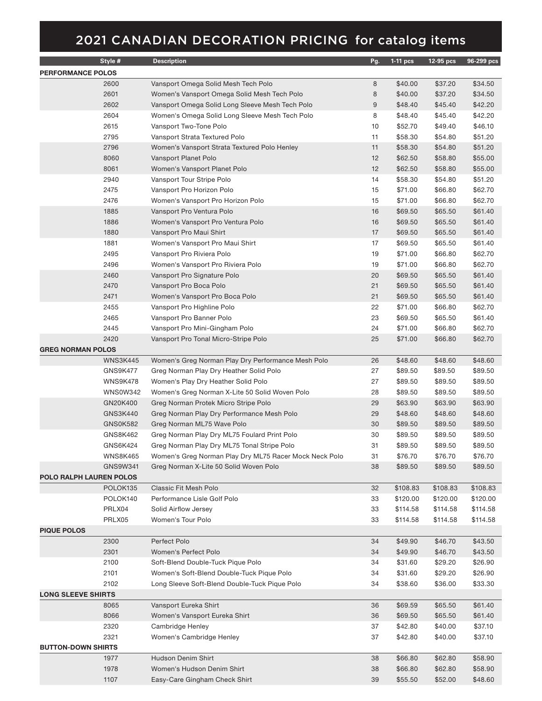|                           | Style #              | <b>Description</b>                                             | Pg.              | $1-11$ pcs | 12-95 pcs | 96-299 pcs |
|---------------------------|----------------------|----------------------------------------------------------------|------------------|------------|-----------|------------|
| <b>PERFORMANCE POLOS</b>  |                      |                                                                |                  |            |           |            |
|                           | 2600                 | Vansport Omega Solid Mesh Tech Polo                            | 8                | \$40.00    | \$37.20   | \$34.50    |
|                           | 2601                 | Women's Vansport Omega Solid Mesh Tech Polo                    | 8                | \$40.00    | \$37.20   | \$34.50    |
|                           | 2602                 | Vansport Omega Solid Long Sleeve Mesh Tech Polo                | $\boldsymbol{9}$ | \$48.40    | \$45.40   | \$42.20    |
|                           | 2604                 | Women's Omega Solid Long Sleeve Mesh Tech Polo                 | 8                | \$48.40    | \$45.40   | \$42.20    |
|                           | 2615                 | Vansport Two-Tone Polo                                         | 10               | \$52.70    | \$49.40   | \$46.10    |
|                           | 2795                 | Vansport Strata Textured Polo                                  | 11               | \$58.30    | \$54.80   | \$51.20    |
|                           | 2796                 | Women's Vansport Strata Textured Polo Henley                   | 11               | \$58.30    | \$54.80   | \$51.20    |
|                           | 8060                 | Vansport Planet Polo                                           | 12               | \$62.50    | \$58.80   | \$55.00    |
|                           | 8061                 | Women's Vansport Planet Polo                                   | 12               | \$62.50    | \$58.80   | \$55.00    |
|                           | 2940                 | Vansport Tour Stripe Polo                                      | 14               | \$58.30    | \$54.80   | \$51.20    |
|                           | 2475                 | Vansport Pro Horizon Polo                                      | 15               | \$71.00    | \$66.80   | \$62.70    |
|                           | 2476                 |                                                                | 15               |            |           |            |
|                           | 1885                 | Women's Vansport Pro Horizon Polo                              | 16               | \$71.00    | \$66.80   | \$62.70    |
|                           | 1886                 | Vansport Pro Ventura Polo<br>Women's Vansport Pro Ventura Polo |                  | \$69.50    | \$65.50   | \$61.40    |
|                           | 1880                 |                                                                | 16               | \$69.50    | \$65.50   | \$61.40    |
|                           |                      | Vansport Pro Maui Shirt                                        | 17               | \$69.50    | \$65.50   | \$61.40    |
|                           | 1881                 | Women's Vansport Pro Maui Shirt                                | 17               | \$69.50    | \$65.50   | \$61.40    |
|                           | 2495                 | Vansport Pro Riviera Polo                                      | 19               | \$71.00    | \$66.80   | \$62.70    |
|                           | 2496                 | Women's Vansport Pro Riviera Polo                              | 19               | \$71.00    | \$66.80   | \$62.70    |
|                           | 2460                 | Vansport Pro Signature Polo                                    | 20               | \$69.50    | \$65.50   | \$61.40    |
|                           | 2470                 | Vansport Pro Boca Polo                                         | 21               | \$69.50    | \$65.50   | \$61.40    |
|                           | 2471                 | Women's Vansport Pro Boca Polo                                 | 21               | \$69.50    | \$65.50   | \$61.40    |
|                           | 2455                 | Vansport Pro Highline Polo                                     | 22               | \$71.00    | \$66.80   | \$62.70    |
|                           | 2465                 | Vansport Pro Banner Polo                                       | 23               | \$69.50    | \$65.50   | \$61.40    |
|                           | 2445                 | Vansport Pro Mini-Gingham Polo                                 | 24               | \$71.00    | \$66.80   | \$62.70    |
|                           | 2420                 | Vansport Pro Tonal Micro-Stripe Polo                           | 25               | \$71.00    | \$66.80   | \$62.70    |
| <b>GREG NORMAN POLOS</b>  |                      |                                                                |                  |            |           |            |
|                           | <b>WNS3K445</b>      | Women's Greg Norman Play Dry Performance Mesh Polo             | 26               | \$48.60    | \$48.60   | \$48.60    |
|                           | GNS9K477             | Greg Norman Play Dry Heather Solid Polo                        | 27               | \$89.50    | \$89.50   | \$89.50    |
|                           | <b>WNS9K478</b>      | Women's Play Dry Heather Solid Polo                            | 27               | \$89.50    | \$89.50   | \$89.50    |
|                           | <b>WNS0W342</b>      | Women's Greg Norman X-Lite 50 Solid Woven Polo                 | 28               | \$89.50    | \$89.50   | \$89.50    |
|                           | GN20K400             | Greg Norman Protek Micro Stripe Polo                           | 29               | \$63.90    | \$63.90   | \$63.90    |
|                           | GNS3K440             | Greg Norman Play Dry Performance Mesh Polo                     | 29               | \$48.60    | \$48.60   | \$48.60    |
|                           | <b>GNS0K582</b>      | Greg Norman ML75 Wave Polo                                     | 30               | \$89.50    | \$89.50   | \$89.50    |
|                           | GNS8K462             | Greg Norman Play Dry ML75 Foulard Print Polo                   | 30               | \$89.50    | \$89.50   | \$89.50    |
|                           | GNS6K424             | Greg Norman Play Dry ML75 Tonal Stripe Polo                    | 31               | \$89.50    | \$89.50   | \$89.50    |
|                           | <b>WNS8K465</b>      | Women's Greg Norman Play Dry ML75 Racer Mock Neck Polo         | 31               | \$76.70    | \$76.70   | \$76.70    |
|                           | GNS9W341             | Greg Norman X-Lite 50 Solid Woven Polo                         | 38               | \$89.50    | \$89.50   | \$89.50    |
| POLO RALPH LAUREN POLOS   |                      |                                                                |                  |            |           |            |
|                           | POLOK <sub>135</sub> | Classic Fit Mesh Polo                                          | 32               | \$108.83   | \$108.83  | \$108.83   |
|                           | POLOK140             | Performance Lisle Golf Polo                                    | 33               | \$120.00   | \$120.00  | \$120.00   |
|                           | PRLX04               | Solid Airflow Jersey                                           | 33               | \$114.58   | \$114.58  | \$114.58   |
|                           | PRLX05               | Women's Tour Polo                                              | 33               | \$114.58   | \$114.58  | \$114.58   |
| <b>PIQUE POLOS</b>        |                      |                                                                |                  |            |           |            |
|                           | 2300                 | Perfect Polo                                                   | 34               | \$49.90    | \$46.70   | \$43.50    |
|                           | 2301                 | Women's Perfect Polo                                           | 34               | \$49.90    | \$46.70   | \$43.50    |
|                           | 2100                 | Soft-Blend Double-Tuck Pique Polo                              | 34               | \$31.60    | \$29.20   | \$26.90    |
|                           | 2101                 | Women's Soft-Blend Double-Tuck Pique Polo                      | 34               | \$31.60    | \$29.20   | \$26.90    |
|                           | 2102                 | Long Sleeve Soft-Blend Double-Tuck Pique Polo                  | 34               | \$38.60    | \$36.00   | \$33.30    |
| <b>LONG SLEEVE SHIRTS</b> |                      |                                                                |                  |            |           |            |
|                           | 8065                 | Vansport Eureka Shirt                                          | 36               | \$69.59    | \$65.50   | \$61.40    |
|                           | 8066                 | Women's Vansport Eureka Shirt                                  | 36               | \$69.50    | \$65.50   | \$61.40    |
|                           | 2320                 | Cambridge Henley                                               | 37               | \$42.80    | \$40.00   | \$37.10    |
|                           | 2321                 | Women's Cambridge Henley                                       | 37               | \$42.80    | \$40.00   | \$37.10    |
| <b>BUTTON-DOWN SHIRTS</b> |                      |                                                                |                  |            |           |            |
|                           | 1977                 | Hudson Denim Shirt                                             | 38               | \$66.80    | \$62.80   | \$58.90    |
|                           | 1978                 | Women's Hudson Denim Shirt                                     | 38               | \$66.80    | \$62.80   | \$58.90    |
|                           | 1107                 | Easy-Care Gingham Check Shirt                                  | 39               | \$55.50    | \$52.00   | \$48.60    |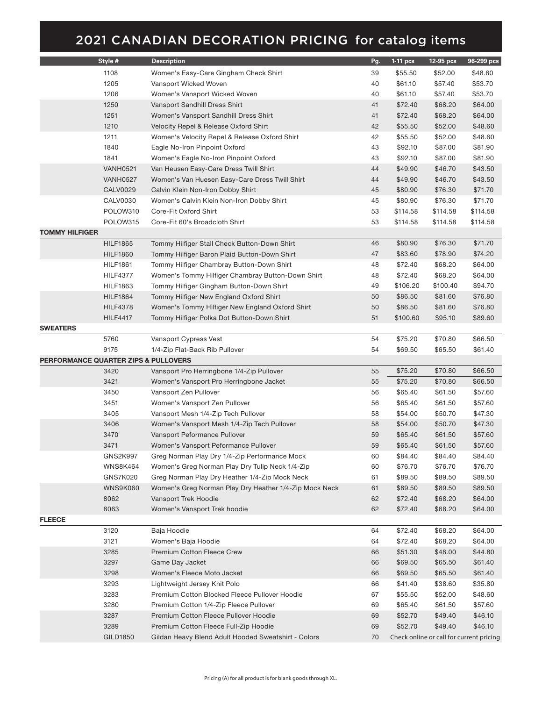|                                      | Style #         | <b>Description</b>                                     | Pg.      | 1-11 pcs           | 12-95 pcs          | 96-299 pcs                               |
|--------------------------------------|-----------------|--------------------------------------------------------|----------|--------------------|--------------------|------------------------------------------|
|                                      | 1108            | Women's Easy-Care Gingham Check Shirt                  | 39       | \$55.50            | \$52.00            | \$48.60                                  |
|                                      | 1205            | Vansport Wicked Woven                                  | 40       | \$61.10            | \$57.40            | \$53.70                                  |
|                                      | 1206            | Women's Vansport Wicked Woven                          | 40       | \$61.10            | \$57.40            | \$53.70                                  |
|                                      | 1250            | Vansport Sandhill Dress Shirt                          | 41       | \$72.40            | \$68.20            | \$64.00                                  |
|                                      | 1251            | Women's Vansport Sandhill Dress Shirt                  | 41       | \$72.40            | \$68.20            | \$64.00                                  |
|                                      |                 |                                                        |          |                    |                    |                                          |
|                                      | 1210            | Velocity Repel & Release Oxford Shirt                  | 42       | \$55.50            | \$52.00            | \$48.60                                  |
|                                      | 1211            | Women's Velocity Repel & Release Oxford Shirt          | 42       | \$55.50            | \$52.00            | \$48.60                                  |
|                                      | 1840            | Eagle No-Iron Pinpoint Oxford                          | 43       | \$92.10            | \$87.00            | \$81.90                                  |
|                                      | 1841            | Women's Eagle No-Iron Pinpoint Oxford                  | 43       | \$92.10            | \$87.00            | \$81.90                                  |
|                                      | <b>VANH0521</b> | Van Heusen Easy-Care Dress Twill Shirt                 | 44       | \$49.90            | \$46.70            | \$43.50                                  |
|                                      | <b>VANH0527</b> | Women's Van Huesen Easy-Care Dress Twill Shirt         | 44       | \$49.90            | \$46.70            | \$43.50                                  |
|                                      | <b>CALV0029</b> | Calvin Klein Non-Iron Dobby Shirt                      | 45       | \$80.90            | \$76.30            | \$71.70                                  |
|                                      | CALV0030        | Women's Calvin Klein Non-Iron Dobby Shirt              | 45       | \$80.90            | \$76.30            | \$71.70                                  |
|                                      | POLOW310        | Core-Fit Oxford Shirt                                  | 53       | \$114.58           | \$114.58           | \$114.58                                 |
|                                      | POLOW315        | Core-Fit 60's Broadcloth Shirt                         | 53       | \$114.58           | \$114.58           | \$114.58                                 |
| TOMMY HILFIGER                       |                 |                                                        |          |                    |                    |                                          |
|                                      | <b>HILF1865</b> | Tommy Hilfiger Stall Check Button-Down Shirt           | 46       | \$80.90            | \$76.30            | \$71.70                                  |
|                                      | <b>HILF1860</b> | Tommy Hilfiger Baron Plaid Button-Down Shirt           | 47       | \$83.60            | \$78.90            | \$74.20                                  |
|                                      | <b>HILF1861</b> | Tommy Hilfiger Chambray Button-Down Shirt              | 48       | \$72.40            | \$68.20            | \$64.00                                  |
|                                      | <b>HILF4377</b> | Women's Tommy Hilfiger Chambray Button-Down Shirt      | 48       | \$72.40            | \$68.20            | \$64.00                                  |
|                                      | <b>HILF1863</b> | Tommy Hilfiger Gingham Button-Down Shirt               | 49       | \$106.20           | \$100.40           | \$94.70                                  |
|                                      | <b>HILF1864</b> | Tommy Hilfiger New England Oxford Shirt                | 50       | \$86.50            | \$81.60            | \$76.80                                  |
|                                      | <b>HILF4378</b> | Women's Tommy Hilfiger New England Oxford Shirt        | 50       | \$86.50            | \$81.60            | \$76.80                                  |
|                                      | <b>HILF4417</b> | Tommy Hilfiger Polka Dot Button-Down Shirt             | 51       | \$100.60           | \$95.10            | \$89.60                                  |
| <b>SWEATERS</b>                      |                 |                                                        |          |                    |                    |                                          |
|                                      | 5760            | Vansport Cypress Vest                                  | 54       | \$75.20            | \$70.80            | \$66.50                                  |
|                                      | 9175            | 1/4-Zip Flat-Back Rib Pullover                         | 54       | \$69.50            | \$65.50            | \$61.40                                  |
| PERFORMANCE QUARTER ZIPS & PULLOVERS |                 |                                                        |          |                    |                    |                                          |
|                                      | 3420            | Vansport Pro Herringbone 1/4-Zip Pullover              | 55       | \$75.20            | \$70.80            | \$66.50                                  |
|                                      | 3421            | Women's Vansport Pro Herringbone Jacket                | 55       | \$75.20            | \$70.80            | \$66.50                                  |
|                                      | 3450            | Vansport Zen Pullover                                  | 56       | \$65.40            | \$61.50            | \$57.60                                  |
|                                      | 3451            | Women's Vansport Zen Pullover                          | 56       | \$65.40            | \$61.50            | \$57.60                                  |
|                                      | 3405            | Vansport Mesh 1/4-Zip Tech Pullover                    | 58       | \$54.00            | \$50.70            | \$47.30                                  |
|                                      | 3406            | Women's Vansport Mesh 1/4-Zip Tech Pullover            | 58       | \$54.00            | \$50.70            | \$47.30                                  |
|                                      | 3470            | Vansport Peformance Pullover                           | 59       | \$65.40            | \$61.50            | \$57.60                                  |
|                                      | 3471            | Women's Vansport Peformance Pullover                   | 59       | \$65.40            | \$61.50            | \$57.60                                  |
|                                      | <b>GNS2K997</b> | Greg Norman Play Dry 1/4-Zip Performance Mock          | 60       | \$84.40            | \$84.40            | \$84.40                                  |
|                                      | <b>WNS8K464</b> | Women's Greg Norman Play Dry Tulip Neck 1/4-Zip        | 60       | \$76.70            | \$76.70            | \$76.70                                  |
|                                      | <b>GNS7K020</b> | Greg Norman Play Dry Heather 1/4-Zip Mock Neck         | 61       | \$89.50            | \$89.50            | \$89.50                                  |
|                                      | <b>WNS9K060</b> | Women's Greg Norman Play Dry Heather 1/4-Zip Mock Neck | 61       | \$89.50            | \$89.50            | \$89.50                                  |
|                                      | 8062            | Vansport Trek Hoodie                                   | 62       | \$72.40            | \$68.20            | \$64.00                                  |
|                                      | 8063            | Women's Vansport Trek hoodie                           | 62       | \$72.40            | \$68.20            | \$64.00                                  |
| <b>FLEECE</b>                        |                 |                                                        |          |                    |                    |                                          |
|                                      | 3120            | Baja Hoodie                                            | 64       | \$72.40            | \$68.20            | \$64.00                                  |
|                                      | 3121            | Women's Baja Hoodie                                    | 64       | \$72.40            | \$68.20            | \$64.00                                  |
|                                      | 3285            | Premium Cotton Fleece Crew                             | 66       | \$51.30            | \$48.00            | \$44.80                                  |
|                                      | 3297            | Game Day Jacket                                        | 66       | \$69.50            | \$65.50            | \$61.40                                  |
|                                      | 3298            | Women's Fleece Moto Jacket                             | 66       | \$69.50            | \$65.50            | \$61.40                                  |
|                                      | 3293            | Lightweight Jersey Knit Polo                           | 66       | \$41.40            | \$38.60            | \$35.80                                  |
|                                      | 3283            | Premium Cotton Blocked Fleece Pullover Hoodie          | 67       | \$55.50            | \$52.00            | \$48.60                                  |
|                                      | 3280            | Premium Cotton 1/4-Zip Fleece Pullover                 | 69       | \$65.40            | \$61.50            | \$57.60                                  |
|                                      | 3287            |                                                        |          |                    |                    |                                          |
|                                      | 3289            | Premium Cotton Fleece Pullover Hoodie                  | 69<br>69 | \$52.70<br>\$52.70 | \$49.40<br>\$49.40 | \$46.10<br>\$46.10                       |
|                                      |                 | Premium Cotton Fleece Full-Zip Hoodie                  |          |                    |                    |                                          |
|                                      | GILD1850        | Gildan Heavy Blend Adult Hooded Sweatshirt - Colors    | 70       |                    |                    | Check online or call for current pricing |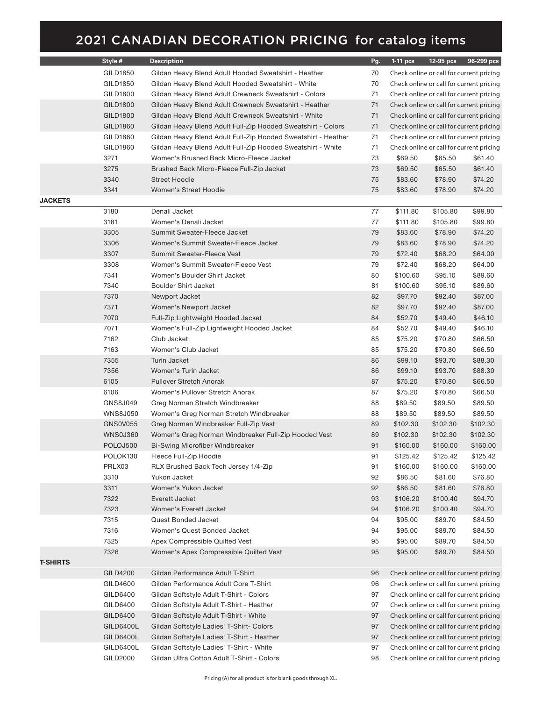|                 | Style #         | <b>Description</b>                                            | Pg. | $1-11$ pcs | 12-95 pcs | 96-299 pcs                               |
|-----------------|-----------------|---------------------------------------------------------------|-----|------------|-----------|------------------------------------------|
|                 | GILD1850        | Gildan Heavy Blend Adult Hooded Sweatshirt - Heather          | 70  |            |           | Check online or call for current pricing |
|                 | GILD1850        | Gildan Heavy Blend Adult Hooded Sweatshirt - White            | 70  |            |           | Check online or call for current pricing |
|                 | GILD1800        | Gildan Heavy Blend Adult Crewneck Sweatshirt - Colors         | 71  |            |           | Check online or call for current pricing |
|                 | GILD1800        | Gildan Heavy Blend Adult Crewneck Sweatshirt - Heather        | 71  |            |           | Check online or call for current pricing |
|                 | GILD1800        | Gildan Heavy Blend Adult Crewneck Sweatshirt - White          | 71  |            |           | Check online or call for current pricing |
|                 | GILD1860        | Gildan Heavy Blend Adult Full-Zip Hooded Sweatshirt - Colors  | 71  |            |           | Check online or call for current pricing |
|                 | GILD1860        | Gildan Heavy Blend Adult Full-Zip Hooded Sweatshirt - Heather | 71  |            |           | Check online or call for current pricing |
|                 | GILD1860        | Gildan Heavy Blend Adult Full-Zip Hooded Sweatshirt - White   | 71  |            |           | Check online or call for current pricing |
|                 | 3271            | Women's Brushed Back Micro-Fleece Jacket                      | 73  | \$69.50    | \$65.50   | \$61.40                                  |
|                 | 3275            | Brushed Back Micro-Fleece Full-Zip Jacket                     | 73  | \$69.50    | \$65.50   | \$61.40                                  |
|                 | 3340            | <b>Street Hoodie</b>                                          | 75  | \$83.60    | \$78.90   | \$74.20                                  |
|                 | 3341            | Women's Street Hoodie                                         | 75  | \$83.60    | \$78.90   | \$74.20                                  |
| <b>JACKETS</b>  |                 |                                                               |     |            |           |                                          |
|                 | 3180            | Denali Jacket                                                 | 77  | \$111.80   | \$105.80  | \$99.80                                  |
|                 | 3181            | Women's Denali Jacket                                         | 77  | \$111.80   | \$105.80  | \$99.80                                  |
|                 | 3305            | Summit Sweater-Fleece Jacket                                  | 79  | \$83.60    | \$78.90   | \$74.20                                  |
|                 | 3306            | Women's Summit Sweater-Fleece Jacket                          | 79  | \$83.60    | \$78.90   | \$74.20                                  |
|                 | 3307            | Summit Sweater-Fleece Vest                                    | 79  | \$72.40    | \$68.20   | \$64.00                                  |
|                 | 3308            | Women's Summit Sweater-Fleece Vest                            | 79  | \$72.40    | \$68.20   | \$64.00                                  |
|                 | 7341            | Women's Boulder Shirt Jacket                                  | 80  | \$100.60   | \$95.10   | \$89.60                                  |
|                 | 7340            | <b>Boulder Shirt Jacket</b>                                   | 81  | \$100.60   | \$95.10   | \$89.60                                  |
|                 | 7370            | Newport Jacket                                                | 82  | \$97.70    | \$92.40   | \$87.00                                  |
|                 | 7371            | Women's Newport Jacket                                        | 82  | \$97.70    | \$92.40   | \$87.00                                  |
|                 | 7070            | Full-Zip Lightweight Hooded Jacket                            | 84  | \$52.70    | \$49.40   | \$46.10                                  |
|                 | 7071            | Women's Full-Zip Lightweight Hooded Jacket                    | 84  | \$52.70    | \$49.40   | \$46.10                                  |
|                 | 7162            | Club Jacket                                                   | 85  | \$75.20    | \$70.80   | \$66.50                                  |
|                 | 7163            | Women's Club Jacket                                           | 85  | \$75.20    | \$70.80   | \$66.50                                  |
|                 | 7355            | Turin Jacket                                                  | 86  | \$99.10    | \$93.70   | \$88.30                                  |
|                 | 7356            | Women's Turin Jacket                                          | 86  | \$99.10    | \$93.70   | \$88.30                                  |
|                 | 6105            | <b>Pullover Stretch Anorak</b>                                | 87  | \$75.20    | \$70.80   | \$66.50                                  |
|                 | 6106            | Women's Pullover Stretch Anorak                               | 87  | \$75.20    | \$70.80   | \$66.50                                  |
|                 | GNS8J049        | Greg Norman Stretch Windbreaker                               | 88  | \$89.50    | \$89.50   | \$89.50                                  |
|                 | <b>WNS8J050</b> | Women's Greg Norman Stretch Windbreaker                       | 88  | \$89.50    | \$89.50   | \$89.50                                  |
|                 | GNS0V055        | Greg Norman Windbreaker Full-Zip Vest                         | 89  | \$102.30   | \$102.30  | \$102.30                                 |
|                 | WNS0J360        | Women's Greg Norman Windbreaker Full-Zip Hooded Vest          | 89  | \$102.30   | \$102.30  | \$102.30                                 |
|                 | POLOJ500        | Bi-Swing Microfiber Windbreaker                               | 91  | \$160.00   | \$160.00  | \$160.00                                 |
|                 | POLOK130        | Fleece Full-Zip Hoodie                                        | 91  | \$125.42   | \$125.42  | \$125.42                                 |
|                 | PRLX03          | RLX Brushed Back Tech Jersey 1/4-Zip                          | 91  | \$160.00   | \$160.00  | \$160.00                                 |
|                 | 3310            | Yukon Jacket                                                  | 92  | \$86.50    | \$81.60   | \$76.80                                  |
|                 | 3311            | Women's Yukon Jacket                                          | 92  | \$86.50    | \$81.60   | \$76.80                                  |
|                 | 7322            | Everett Jacket                                                | 93  | \$106.20   | \$100.40  | \$94.70                                  |
|                 | 7323            | Women's Everett Jacket                                        | 94  | \$106.20   | \$100.40  | \$94.70                                  |
|                 | 7315            | Quest Bonded Jacket                                           | 94  | \$95.00    | \$89.70   | \$84.50                                  |
|                 | 7316            | Women's Quest Bonded Jacket                                   | 94  | \$95.00    | \$89.70   | \$84.50                                  |
|                 | 7325            | Apex Compressible Quilted Vest                                | 95  | \$95.00    | \$89.70   | \$84.50                                  |
|                 | 7326            | Women's Apex Compressible Quilted Vest                        | 95  | \$95.00    | \$89.70   | \$84.50                                  |
| <b>T-SHIRTS</b> |                 |                                                               |     |            |           |                                          |
|                 | GILD4200        | Gildan Performance Adult T-Shirt                              | 96  |            |           | Check online or call for current pricing |
|                 | GILD4600        | Gildan Performance Adult Core T-Shirt                         | 96  |            |           | Check online or call for current pricing |
|                 | GILD6400        | Gildan Softstyle Adult T-Shirt - Colors                       | 97  |            |           | Check online or call for current pricing |
|                 | GILD6400        | Gildan Softstyle Adult T-Shirt - Heather                      | 97  |            |           | Check online or call for current pricing |
|                 | GILD6400        | Gildan Softstyle Adult T-Shirt - White                        | 97  |            |           | Check online or call for current pricing |
|                 | GILD6400L       | Gildan Softstyle Ladies' T-Shirt- Colors                      | 97  |            |           | Check online or call for current pricing |
|                 | GILD6400L       | Gildan Softstyle Ladies' T-Shirt - Heather                    | 97  |            |           | Check online or call for current pricing |
|                 | GILD6400L       | Gildan Softstyle Ladies' T-Shirt - White                      | 97  |            |           | Check online or call for current pricing |
|                 | GILD2000        | Gildan Ultra Cotton Adult T-Shirt - Colors                    | 98  |            |           | Check online or call for current pricing |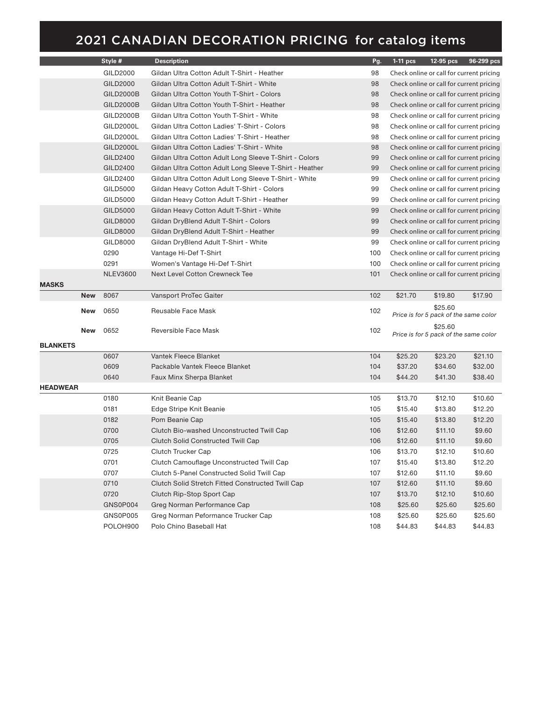|                 |            | Style #          | <b>Description</b>                                      | Pg. | $1-11$ pcs | 12-95 pcs                                        | 96-299 pcs                               |
|-----------------|------------|------------------|---------------------------------------------------------|-----|------------|--------------------------------------------------|------------------------------------------|
|                 |            | GILD2000         | Gildan Ultra Cotton Adult T-Shirt - Heather             | 98  |            |                                                  | Check online or call for current pricing |
|                 |            | GILD2000         | Gildan Ultra Cotton Adult T-Shirt - White               | 98  |            |                                                  | Check online or call for current pricing |
|                 |            | <b>GILD2000B</b> | Gildan Ultra Cotton Youth T-Shirt - Colors              | 98  |            |                                                  | Check online or call for current pricing |
|                 |            | GILD2000B        | Gildan Ultra Cotton Youth T-Shirt - Heather             | 98  |            |                                                  | Check online or call for current pricing |
|                 |            | GILD2000B        | Gildan Ultra Cotton Youth T-Shirt - White               | 98  |            |                                                  | Check online or call for current pricing |
|                 |            | GILD2000L        | Gildan Ultra Cotton Ladies' T-Shirt - Colors            | 98  |            |                                                  | Check online or call for current pricing |
|                 |            | <b>GILD2000L</b> | Gildan Ultra Cotton Ladies' T-Shirt - Heather           | 98  |            |                                                  | Check online or call for current pricing |
|                 |            | <b>GILD2000L</b> | Gildan Ultra Cotton Ladies' T-Shirt - White             | 98  |            |                                                  | Check online or call for current pricing |
|                 |            | GILD2400         | Gildan Ultra Cotton Adult Long Sleeve T-Shirt - Colors  | 99  |            |                                                  | Check online or call for current pricing |
|                 |            | GILD2400         | Gildan Ultra Cotton Adult Long Sleeve T-Shirt - Heather | 99  |            |                                                  | Check online or call for current pricing |
|                 |            | GILD2400         | Gildan Ultra Cotton Adult Long Sleeve T-Shirt - White   | 99  |            |                                                  | Check online or call for current pricing |
|                 |            | GILD5000         | Gildan Heavy Cotton Adult T-Shirt - Colors              | 99  |            |                                                  | Check online or call for current pricing |
|                 |            | GILD5000         | Gildan Heavy Cotton Adult T-Shirt - Heather             | 99  |            |                                                  | Check online or call for current pricing |
|                 |            | GILD5000         | Gildan Heavy Cotton Adult T-Shirt - White               | 99  |            |                                                  | Check online or call for current pricing |
|                 |            | GILD8000         | Gildan DryBlend Adult T-Shirt - Colors                  | 99  |            |                                                  | Check online or call for current pricing |
|                 |            | GILD8000         | Gildan DryBlend Adult T-Shirt - Heather                 | 99  |            |                                                  | Check online or call for current pricing |
|                 |            | GILD8000         | Gildan DryBlend Adult T-Shirt - White                   | 99  |            |                                                  | Check online or call for current pricing |
|                 |            | 0290             | Vantage Hi-Def T-Shirt                                  | 100 |            |                                                  | Check online or call for current pricing |
|                 |            | 0291             | Women's Vantage Hi-Def T-Shirt                          | 100 |            |                                                  | Check online or call for current pricing |
|                 |            | <b>NLEV3600</b>  | <b>Next Level Cotton Crewneck Tee</b>                   | 101 |            |                                                  | Check online or call for current pricing |
| <b>MASKS</b>    |            |                  |                                                         |     |            |                                                  |                                          |
|                 | New        | 8067             | Vansport ProTec Gaiter                                  | 102 | \$21.70    | \$19.80                                          | \$17.90                                  |
|                 | New        | 0650             | Reusable Face Mask                                      | 102 |            | \$25.60                                          |                                          |
|                 |            |                  |                                                         |     |            | Price is for 5 pack of the same color            |                                          |
|                 | <b>New</b> | 0652             | Reversible Face Mask                                    | 102 |            | \$25.60<br>Price is for 5 pack of the same color |                                          |
| <b>BLANKETS</b> |            |                  |                                                         |     |            |                                                  |                                          |
|                 |            | 0607             | Vantek Fleece Blanket                                   | 104 | \$25.20    | \$23.20                                          | \$21.10                                  |
|                 |            | 0609             | Packable Vantek Fleece Blanket                          | 104 | \$37.20    | \$34.60                                          | \$32.00                                  |
|                 |            | 0640             | Faux Minx Sherpa Blanket                                | 104 | \$44.20    | \$41.30                                          | \$38.40                                  |
| <b>HEADWEAR</b> |            |                  |                                                         |     |            |                                                  |                                          |
|                 |            | 0180             | Knit Beanie Cap                                         | 105 | \$13.70    | \$12.10                                          | \$10.60                                  |
|                 |            | 0181             | Edge Stripe Knit Beanie                                 | 105 | \$15.40    | \$13.80                                          | \$12.20                                  |
|                 |            | 0182             | Pom Beanie Cap                                          | 105 | \$15.40    | \$13.80                                          | \$12.20                                  |
|                 |            | 0700             | Clutch Bio-washed Unconstructed Twill Cap               | 106 | \$12.60    | \$11.10                                          | \$9.60                                   |
|                 |            | 0705             | <b>Clutch Solid Constructed Twill Cap</b>               | 106 | \$12.60    | \$11.10                                          | \$9.60                                   |
|                 |            | 0725             | Clutch Trucker Cap                                      | 106 | \$13.70    | \$12.10                                          | \$10.60                                  |
|                 |            | 0701             | Clutch Camouflage Unconstructed Twill Cap               | 107 | \$15.40    | \$13.80                                          | \$12.20                                  |
|                 |            | 0707             | Clutch 5-Panel Constructed Solid Twill Cap              | 107 | \$12.60    | \$11.10                                          | \$9.60                                   |
|                 |            | 0710             | Clutch Solid Stretch Fitted Constructed Twill Cap       | 107 | \$12.60    | \$11.10                                          | \$9.60                                   |
|                 |            | 0720             | Clutch Rip-Stop Sport Cap                               | 107 | \$13.70    | \$12.10                                          | \$10.60                                  |
|                 |            | GNS0P004         | Greg Norman Performance Cap                             | 108 | \$25.60    | \$25.60                                          | \$25.60                                  |
|                 |            |                  |                                                         |     |            |                                                  |                                          |
|                 |            | GNS0P005         | Greg Norman Peformance Trucker Cap                      | 108 | \$25.60    | \$25.60                                          | \$25.60                                  |